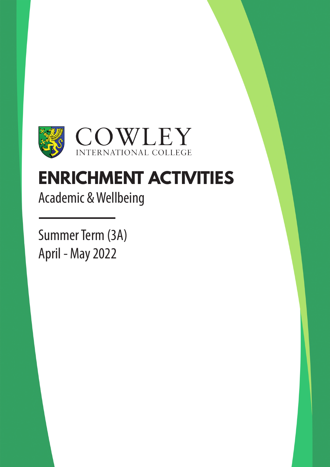

### **ENRICHMENT ACTIVITIES**

Academic & Wellbeing

Summer Term (3A) April - May 2022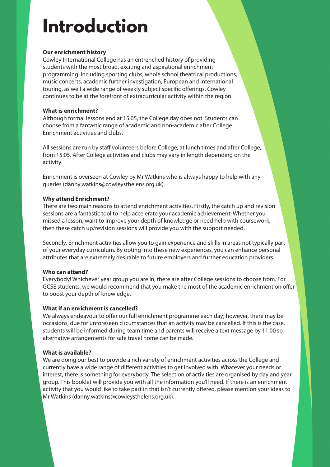### **Introduction**

#### **Our enrichment history**

Cowley International College has an entrenched history of providing students with the most broad, exciting and aspirational enrichment programming. Including sporting clubs, whole school theatrical productions, music concerts, academic further investigation, European and international touring, as well a wide range of weekly subject specific offerings, Cowley continues to be at the forefront of extracurricular activity within the region.

#### **What is enrichment?**

Although formal lessons end at 15:05, the College day does not. Students can choose from a fantastic range of academic and non-academic after College Enrichment activities and clubs.

All sessions are run by staff volunteers before College, at lunch times and after College, from 15:05. After College activities and clubs may vary in length depending on the activity.

Enrichment is overseen at Cowley by Mr Watkins who is always happy to help with any queries (danny.watkins@cowleysthelens.org.uk).

#### **Why attend Enrichment?**

There are two main reasons to attend enrichment activities. Firstly, the catch up and revision sessions are a fantastic tool to help accelerate your academic achievement. Whether you missed a lesson, want to improve your depth of knowledge or need help with coursework, then these catch up/revision sessions will provide you with the support needed.

Secondly, Enrichment activities allow you to gain experience and skills in areas not typically part of your everyday curriculum. By opting into these new experiences, you can enhance personal attributes that are extremely desirable to future employers and further education providers.

#### **Who can attend?**

Everybody! Whichever year group you are in, there are after College sessions to choose from. For GCSE students, we would recommend that you make the most of the academic enrichment on offer to boost your depth of knowledge.

#### **What if an enrichment is cancelled?**

We always endeavour to offer our full enrichment programme each day; however, there may be occasions, due for unforeseen circumstances that an activity may be cancelled. If this is the case, students will be informed during team time and parents will receive a text message by 11:00 so alternative arrangements for safe travel home can be made.

#### **What is available?**

We are doing our best to provide a rich variety of enrichment activities across the College and currently have a wide range of different activities to get involved with. Whatever your needs or interest, there is something for everybody. The selection of activities are organised by day and year group. This booklet will provide you with all the information you'll need. If there is an enrichment activity that you would like to take part in that isn't currently offered, please mention your ideas to Mr Watkins (danny.watkins@cowleysthelens.org.uk).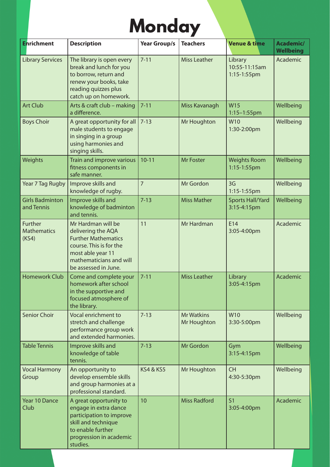### **Monday**

| <b>Enrichment</b>                      | <b>Description</b>                                                                                                                                                        | <b>Year Group/s</b>  | <b>Teachers</b>                  | <b>Venue &amp; time</b>                 | Academic/<br><b>Wellbeing</b> |
|----------------------------------------|---------------------------------------------------------------------------------------------------------------------------------------------------------------------------|----------------------|----------------------------------|-----------------------------------------|-------------------------------|
| <b>Library Services</b>                | The library is open every<br>break and lunch for you<br>to borrow, return and<br>renew your books, take<br>reading quizzes plus<br>catch up on homework.                  | $7 - 11$             | <b>Miss Leather</b>              | Library<br>10:55-11:15am<br>1:15-1:55pm | Academic                      |
| <b>Art Club</b>                        | Arts & craft club - making<br>a difference.                                                                                                                               | $7 - 11$             | Miss Kavanagh                    | W15<br>$1:15 - 1:55$ pm                 | Wellbeing                     |
| <b>Boys Choir</b>                      | A great opportunity for all<br>male students to engage<br>in singing in a group<br>using harmonies and<br>singing skills.                                                 | $7 - 13$             | Mr Houghton                      | W10<br>1:30-2:00pm                      | Wellbeing                     |
| Weights                                | Train and improve various<br>fitness components in<br>safe manner.                                                                                                        | $10 - 11$            | <b>Mr Foster</b>                 | <b>Weights Room</b><br>1:15-1:55pm      | Wellbeing                     |
| Year 7 Tag Rugby                       | Improve skills and<br>knowledge of rugby.                                                                                                                                 | $\overline{7}$       | Mr Gordon                        | 3G<br>1:15-1:55pm                       | Wellbeing                     |
| <b>Girls Badminton</b><br>and Tennis   | Improve skills and<br>knowledge of badminton<br>and tennis.                                                                                                               | $7 - 13$             | <b>Miss Mather</b>               | <b>Sports Hall/Yard</b><br>3:15-4:15pm  | Wellbeing                     |
| Further<br><b>Mathematics</b><br>(KS4) | Mr Hardman will be<br>delivering the AQA<br><b>Further Mathematics</b><br>course. This is for the<br>most able year 11<br>mathematicians and will<br>be assessed in June. | 11                   | Mr Hardman                       | E14<br>3:05-4:00pm                      | Academic                      |
| <b>Homework Club</b>                   | Come and complete your<br>homework after school<br>in the supportive and<br>focused atmosphere of<br>the library.                                                         | $7 - 11$             | <b>Miss Leather</b>              | Library<br>3:05-4:15pm                  | Academic                      |
| <b>Senior Choir</b>                    | Vocal enrichment to<br>stretch and challenge<br>performance group work<br>and extended harmonies.                                                                         | $7 - 13$             | <b>Mr Watkins</b><br>Mr Houghton | W10<br>3:30-5:00pm                      | Wellbeing                     |
| <b>Table Tennis</b>                    | Improve skills and<br>knowledge of table<br>tennis.                                                                                                                       | $7 - 13$             | Mr Gordon                        | Gym<br>3:15-4:15pm                      | Wellbeing                     |
| <b>Vocal Harmony</b><br>Group          | An opportunity to<br>develop ensemble skills<br>and group harmonies at a<br>professional standard.                                                                        | <b>KS4 &amp; KS5</b> | Mr Houghton                      | <b>CH</b><br>4:30-5:30pm                | Wellbeing                     |
| Year 10 Dance<br>Club                  | A great opportunity to<br>engage in extra dance<br>participation to improve<br>skill and technique<br>to enable further<br>progression in academic<br>studies.            | 10                   | <b>Miss Radford</b>              | S <sub>1</sub><br>3:05-4:00pm           | Academic                      |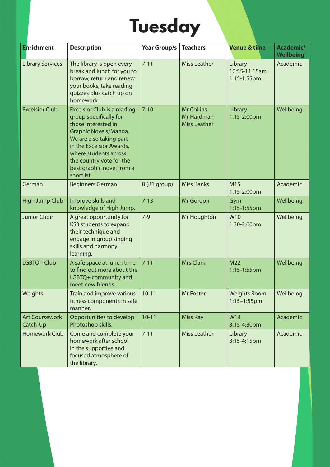# **Tuesday**

| <b>Enrichment</b>                 | <b>Description</b>                                                                                                                                                                                                                                                  | <b>Year Group/s</b> | <b>Teachers</b>                                        | <b>Venue &amp; time</b>                    | <b>Academic/</b><br><b>Wellbeing</b> |
|-----------------------------------|---------------------------------------------------------------------------------------------------------------------------------------------------------------------------------------------------------------------------------------------------------------------|---------------------|--------------------------------------------------------|--------------------------------------------|--------------------------------------|
| <b>Library Services</b>           | The library is open every<br>break and lunch for you to<br>borrow, return and renew<br>your books, take reading<br>quizzes plus catch up on<br>homework.                                                                                                            | $7 - 11$            | <b>Miss Leather</b>                                    | Library<br>10:55-11:15am<br>$1:15-1:55$ pm | Academic                             |
| <b>Excelsior Club</b>             | <b>Excelsior Club is a reading</b><br>group specifically for<br>those interested in<br>Graphic Novels/Manga.<br>We are also taking part<br>in the Excelsior Awards,<br>where students across<br>the country vote for the<br>best graphic novel from a<br>shortlist. | $7 - 10$            | <b>Mr Collins</b><br>Mr Hardman<br><b>Miss Leather</b> | Library<br>1:15-2:00pm                     | Wellbeing                            |
| German                            | Beginners German.                                                                                                                                                                                                                                                   | 8 (B1 group)        | <b>Miss Banks</b>                                      | M15<br>1:15-2:00pm                         | Academic                             |
| <b>High Jump Club</b>             | Improve skills and<br>knowledge of High Jump.                                                                                                                                                                                                                       | $7 - 13$            | <b>Mr Gordon</b>                                       | Gym<br>1:15-1:55pm                         | Wellbeing                            |
| <b>Junior Choir</b>               | A great opportunity for<br>KS3 students to expand<br>their technique and<br>engage in group singing<br>skills and harmony<br>learning.                                                                                                                              | $7-9$               | Mr Houghton                                            | W10<br>1:30-2:00pm                         | Wellbeing                            |
| LGBTQ+ Club                       | A safe space at lunch time<br>to find out more about the<br>LGBTQ+ community and<br>meet new friends.                                                                                                                                                               | $7 - 11$            | <b>Mrs Clark</b>                                       | M22<br>1:15-1:55pm                         | Wellbeing                            |
| Weights                           | Train and improve various<br>fitness components in safe<br>manner.                                                                                                                                                                                                  | $10 - 11$           | Mr Foster                                              | <b>Weights Room</b><br>1:15-1:55pm         | Wellbeing                            |
| <b>Art Coursework</b><br>Catch-Up | Opportunities to develop<br>Photoshop skills.                                                                                                                                                                                                                       | $10 - 11$           | <b>Miss Kay</b>                                        | W14<br>3:15-4:30pm                         | Academic                             |
| <b>Homework Club</b>              | Come and complete your<br>homework after school<br>in the supportive and<br>focused atmosphere of<br>the library.                                                                                                                                                   | $7 - 11$            | <b>Miss Leather</b>                                    | Library<br>3:15-4:15pm                     | Academic                             |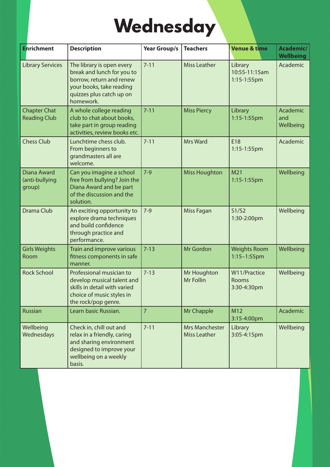## **Wednesday**

| <b>Enrichment</b>                          | <b>Description</b>                                                                                                                                       | <b>Year Group/s</b> | <b>Teachers</b>                              | <b>Venue &amp; time</b>                 | <b>Academic/</b><br><b>Wellbeing</b> |
|--------------------------------------------|----------------------------------------------------------------------------------------------------------------------------------------------------------|---------------------|----------------------------------------------|-----------------------------------------|--------------------------------------|
| <b>Library Services</b>                    | The library is open every<br>break and lunch for you to<br>borrow, return and renew<br>your books, take reading<br>quizzes plus catch up on<br>homework. | $7 - 11$            | <b>Miss Leather</b>                          | Library<br>10:55-11:15am<br>1:15-1:55pm | Academic                             |
| <b>Chapter Chat</b><br><b>Reading Club</b> | A whole college reading<br>club to chat about books,<br>take part in group reading<br>activities, review books etc.                                      | $7 - 11$            | <b>Miss Piercy</b>                           | Library<br>1:15-1:55pm                  | Academic<br>and<br>Wellbeing         |
| <b>Chess Club</b>                          | Lunchtime chess club.<br>From beginners to<br>grandmasters all are<br>welcome.                                                                           | $7 - 11$            | <b>Mrs Ward</b>                              | E18<br>1:15-1:55pm                      | Academic                             |
| Diana Award<br>(anti-bullying<br>group)    | Can you imagine a school<br>free from bullying? Join the<br>Diana Award and be part<br>of the discussion and the<br>solution.                            | $7-9$               | <b>Miss Houghton</b>                         | M <sub>21</sub><br>1:15-1:55pm          | Wellbeing                            |
| Drama Club                                 | An exciting opportunity to<br>explore drama techniques<br>and build confidence<br>through practice and<br>performance.                                   | $7-9$               | Miss Fagan                                   | S1/S2<br>1:30-2:00pm                    | Wellbeing                            |
| <b>Girls Weights</b><br>Room               | Train and improve various<br>fitness components in safe<br>manner.                                                                                       | $7 - 13$            | Mr Gordon                                    | <b>Weights Room</b><br>1:15-1:55pm      | Wellbeing                            |
| <b>Rock School</b>                         | Professional musician to<br>develop musical talent and<br>skills in detail with varied<br>choice of music styles in<br>the rock/pop genre.               | $7 - 13$            | Mr Houghton<br>Mr Follin                     | W11/Practice<br>Rooms<br>3:30-4:30pm    | Wellbeing                            |
| <b>Russian</b>                             | Learn basic Russian.                                                                                                                                     | $\overline{7}$      | Mr Chapple                                   | M12<br>3:15-4:00pm                      | Academic                             |
| Wellbeing<br>Wednesdays                    | Check in, chill out and<br>relax in a friendly, caring<br>and sharing environment<br>designed to improve your<br>wellbeing on a weekly<br>basis.         | $7 - 11$            | <b>Mrs Manchester</b><br><b>Miss Leather</b> | Library<br>3:05-4:15pm                  | Wellbeing                            |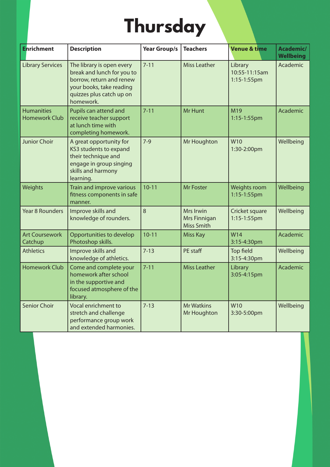# **Thursday**

| <b>Enrichment</b>                         | <b>Description</b>                                                                                                                                       | <b>Year Group/s</b> | <b>Teachers</b>                                | <b>Venue &amp; time</b>                 | Academic/<br><b>Wellbeing</b> |
|-------------------------------------------|----------------------------------------------------------------------------------------------------------------------------------------------------------|---------------------|------------------------------------------------|-----------------------------------------|-------------------------------|
| <b>Library Services</b>                   | The library is open every<br>break and lunch for you to<br>borrow, return and renew<br>your books, take reading<br>quizzes plus catch up on<br>homework. | $7 - 11$            | <b>Miss Leather</b>                            | Library<br>10:55-11:15am<br>1:15-1:55pm | Academic                      |
| <b>Humanities</b><br><b>Homework Club</b> | Pupils can attend and<br>receive teacher support<br>at lunch time with<br>completing homework.                                                           | $7 - 11$            | Mr Hunt                                        | M19<br>1:15-1:55pm                      | Academic                      |
| <b>Junior Choir</b>                       | A great opportunity for<br>KS3 students to expand<br>their technique and<br>engage in group singing<br>skills and harmony<br>learning.                   | $7-9$               | Mr Houghton                                    | W <sub>10</sub><br>1:30-2:00pm          | Wellbeing                     |
| Weights                                   | Train and improve various<br>fitness components in safe<br>manner.                                                                                       | $10 - 11$           | <b>Mr Foster</b>                               | Weights room<br>1:15-1:55pm             | Wellbeing                     |
| <b>Year 8 Rounders</b>                    | Improve skills and<br>knowledge of rounders.                                                                                                             | 8                   | Mrs Irwin<br>Mrs Finnigan<br><b>Miss Smith</b> | Cricket square<br>1:15-1:55pm           | Wellbeing                     |
| <b>Art Coursework</b><br>Catchup          | Opportunities to develop<br>Photoshop skills.                                                                                                            | $10 - 11$           | <b>Miss Kay</b>                                | W14<br>3:15-4:30pm                      | Academic                      |
| <b>Athletics</b>                          | Improve skills and<br>knowledge of athletics.                                                                                                            | $7 - 13$            | PE staff                                       | Top field<br>3:15-4:30pm                | Wellbeing                     |
| <b>Homework Club</b>                      | Come and complete your<br>homework after school<br>in the supportive and<br>focused atmosphere of the<br>library.                                        | $7 - 11$            | <b>Miss Leather</b>                            | Library<br>3:05-4:15pm                  | Academic                      |
| <b>Senior Choir</b>                       | Vocal enrichment to<br>stretch and challenge<br>performance group work<br>and extended harmonies.                                                        | $7 - 13$            | <b>Mr Watkins</b><br>Mr Houghton               | W10<br>3:30-5:00pm                      | Wellbeing                     |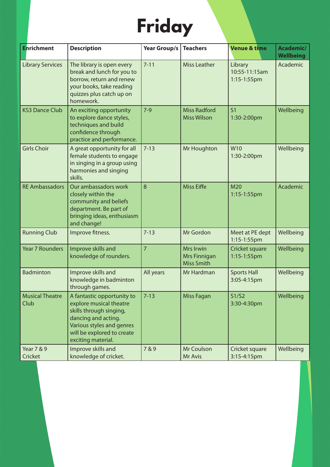# **Friday**

| <b>Enrichment</b>              | <b>Description</b>                                                                                                                                                                       | <b>Year Group/s</b> | <b>Teachers</b>                                | <b>Venue &amp; time</b>                    | Academic/<br><b>Wellbeing</b> |
|--------------------------------|------------------------------------------------------------------------------------------------------------------------------------------------------------------------------------------|---------------------|------------------------------------------------|--------------------------------------------|-------------------------------|
| <b>Library Services</b>        | The library is open every<br>break and lunch for you to<br>borrow, return and renew<br>your books, take reading<br>quizzes plus catch up on<br>homework.                                 | $7 - 11$            | <b>Miss Leather</b>                            | Library<br>10:55-11:15am<br>$1:15-1:55$ pm | Academic                      |
| <b>KS3 Dance Club</b>          | An exciting opportunity<br>to explore dance styles,<br>techniques and build<br>confidence through<br>practice and performance.                                                           | $7-9$               | <b>Miss Radford</b><br><b>Miss Wilson</b>      | S <sub>1</sub><br>1:30-2:00pm              | Wellbeing                     |
| <b>Girls Choir</b>             | A great opportunity for all<br>female students to engage<br>in singing in a group using<br>harmonies and singing<br>skills.                                                              | $7 - 13$            | Mr Houghton                                    | W10<br>1:30-2:00pm                         | Wellbeing                     |
| <b>RE Ambassadors</b>          | Our ambassadors work<br>closely within the<br>community and beliefs<br>department. Be part of<br>bringing ideas, enthusiasm<br>and change!                                               | 8                   | <b>Miss Eiffe</b>                              | M20<br>1:15-1:55pm                         | Academic                      |
| <b>Running Club</b>            | Improve fitness.                                                                                                                                                                         | $7 - 13$            | Mr Gordon                                      | Meet at PE dept<br>1:15-1:55pm             | Wellbeing                     |
| <b>Year 7 Rounders</b>         | Improve skills and<br>knowledge of rounders.                                                                                                                                             | $\overline{7}$      | Mrs Irwin<br>Mrs Finnigan<br><b>Miss Smith</b> | Cricket square<br>1:15-1:55pm              | Wellbeing                     |
| <b>Badminton</b>               | Improve skills and<br>knowledge in badminton<br>through games.                                                                                                                           | All years           | Mr Hardman                                     | <b>Sports Hall</b><br>3:05-4:15pm          | Wellbeing                     |
| <b>Musical Theatre</b><br>Club | A fantastic opportunity to<br>explore musical theatre<br>skills through singing,<br>dancing and acting.<br>Various styles and genres<br>will be explored to create<br>exciting material. | $7 - 13$            | Miss Fagan                                     | S1/S2<br>3:30-4:30pm                       | Wellbeing                     |
| Year 7 & 9<br>Cricket          | Improve skills and<br>knowledge of cricket.                                                                                                                                              | 7 & 9               | Mr Coulson<br>Mr Avis                          | Cricket square<br>3:15-4:15pm              | Wellbeing                     |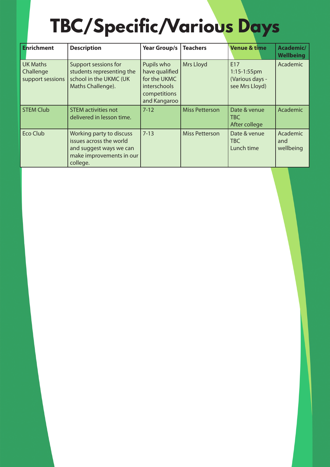## **TBC/Specific/Various Days**

| <b>Enrichment</b>                                | <b>Description</b>                                                                                                     | <b>Year Group/s</b>                                                                          | <b>Teachers</b>       | <b>Venue &amp; time</b>                                    | Academic/<br><b>Wellbeing</b> |
|--------------------------------------------------|------------------------------------------------------------------------------------------------------------------------|----------------------------------------------------------------------------------------------|-----------------------|------------------------------------------------------------|-------------------------------|
| <b>UK Maths</b><br>Challenge<br>support sessions | Support sessions for<br>students representing the<br>school in the UKMC (UK<br>Maths Challenge).                       | Pupils who<br>have qualified<br>for the UKMC<br>interschools<br>competitions<br>and Kangaroo | Mrs Lloyd             | E17<br>$1:15-1:55$ pm<br>(Various days -<br>see Mrs Lloyd) | Academic                      |
| <b>STEM Club</b>                                 | <b>STEM activities not</b><br>delivered in lesson time.                                                                | $7 - 12$                                                                                     | <b>Miss Petterson</b> | Date & venue<br>TBC<br>After college                       | Academic                      |
| <b>Eco Club</b>                                  | Working party to discuss<br>issues across the world<br>and suggest ways we can<br>make improvements in our<br>college. | $7 - 13$                                                                                     | <b>Miss Petterson</b> | Date & venue<br>TBC<br>Lunch time                          | Academic<br>and<br>wellbeing  |